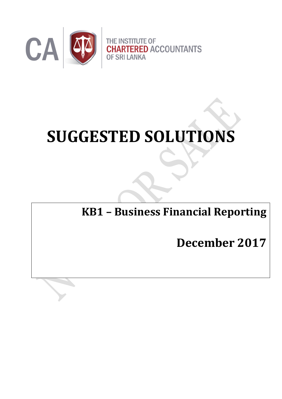

# **SUGGESTED SOLUTIONS**

**KB1 – Business Financial Reporting**

**December 2017**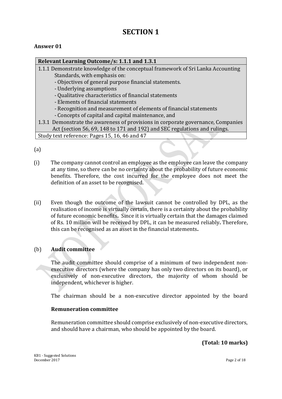# **SECTION 1**

## **Answer 01**

#### **Relevant Learning Outcome/s: 1.1.1 and 1.3.1**

- 1.1.1 Demonstrate knowledge of the conceptual framework of Sri Lanka Accounting Standards, with emphasis on:
	- Objectives of general purpose financial statements.
	- Underlying assumptions
	- Qualitative characteristics of financial statements
	- Elements of financial statements
	- Recognition and measurement of elements of financial statements
	- Concepts of capital and capital maintenance, and

#### 1.3.1 Demonstrate the awareness of provisions in corporate governance, Companies Act (section 56, 69, 148 to 171 and 192) and SEC regulations and rulings. Study text reference: Pages 15, 16, 46 and 47

(a)

- (i) The company cannot control an employee as the employee can leave the company at any time, so there can be no certainty about the probability of future economic benefits. Therefore, the cost incurred for the employee does not meet the definition of an asset to be recognised.
- (ii) Even though the outcome of the lawsuit cannot be controlled by DPL, as the realisation of income is virtually certain, there is a certainty about the probability of future economic benefits**.** Since it is virtually certain that the damages claimed of Rs. 10 million will be received by DPL, it can be measured reliably**.** Therefore, this can be recognised as an asset in the financial statements**.**

## (b) **Audit committee**

The audit committee should comprise of a minimum of two independent nonexecutive directors (where the company has only two directors on its board), or exclusively of non-executive directors, the majority of whom should be independent, whichever is higher.

The chairman should be a non-executive director appointed by the board

#### **Remuneration committee**

Remuneration committee should comprise exclusively of non-executive directors, and should have a chairman, who should be appointed by the board.

**(Total: 10 marks)**

KB1 - Suggested Solutions December 2017 Page 2 of 18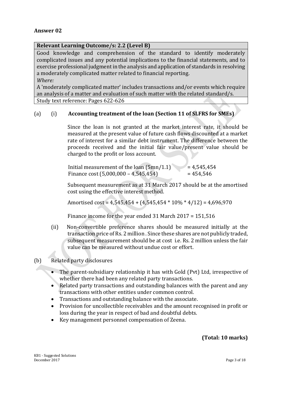#### **Relevant Learning Outcome/s: 2.2 (Level B)**

Good knowledge and comprehension of the standard to identify moderately complicated issues and any potential implications to the financial statements, and to exercise professional judgment in the analysis and application of standards in resolving a moderately complicated matter related to financial reporting.

*Where:*

A 'moderately complicated matter' includes transactions and/or events which require an analysis of a matter and evaluation of such matter with the related standard/s. Study text reference: Pages 622-626

## (a) (i) **Accounting treatment of the loan (Section 11 of SLFRS for SMEs)**

Since the loan is not granted at the market interest rate, it should be measured at the present value of future cash flows discounted at a market rate of interest for a similar debt instrument. The difference between the proceeds received and the initial fair value/present value should be charged to the profit or loss account.

| Initial measurement of the loan $(5mn/1.1)$ | $= 4,545,454$ |
|---------------------------------------------|---------------|
| Finance cost $(5,000,000 - 4,545,454)$      | $= 454.546$   |

Subsequent measurement as at 31 March 2017 should be at the amortised cost using the effective interest method.

Amortised cost =  $4,545,454 + (4,545,454 * 10\% * 4/12) = 4,696,970$ 

Finance income for the year ended 31 March 2017 = 151,516

(ii) Non-convertible preference shares should be measured initially at the transaction price of Rs. 2 million . Since these shares are not publicly traded, subsequent measurement should be at cost i.e. Rs. 2 million unless the fair value can be measured without undue cost or effort.

#### (b) Related party disclosures

- The parent-subsidiary relationship it has with Gold (Pvt) Ltd, irrespective of whether there had been any related party transactions.
- Related party transactions and outstanding balances with the parent and any transactions with other entities under common control.
- Transactions and outstanding balance with the associate.
- Provision for uncollectible receivables and the amount recognised in profit or loss during the year in respect of bad and doubtful debts.
- Key management personnel compensation of Zeena.

## **(Total: 10 marks)**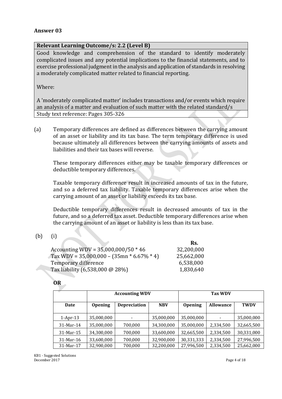#### **Relevant Learning Outcome/s: 2.2 (Level B)**

Good knowledge and comprehension of the standard to identify moderately complicated issues and any potential implications to the financial statements, and to exercise professional judgment in the analysis and application of standards in resolving a moderately complicated matter related to financial reporting.

Where:

A 'moderately complicated matter' includes transactions and/or events which require an analysis of a matter and evaluation of such matter with the related standard/s Study text reference: Pages 305-326

(a) Temporary differences are defined as differences between the carrying amount of an asset or liability and its tax base. The term temporary difference is used because ultimately all differences between the carrying amounts of assets and liabilities and their tax bases will reverse.

These temporary differences either may be taxable temporary differences or deductible temporary differences.

Taxable temporary difference result in increased amounts of tax in the future, and so a deferred tax liability. Taxable temporary differences arise when the carrying amount of an asset or liability exceeds its tax base.

Deductible temporary differences result in decreased amounts of tax in the future, and so a deferred tax asset. Deductible temporary differences arise when the carrying amount of an asset or liability is less than its tax base.

(b) (i)

|                                             | Rs.        |
|---------------------------------------------|------------|
| Accounting WDV = $35,000,000/50 * 46$       | 32,200,000 |
| Tax WDV = $35,000,000 - (35mn * 6.67% * 4)$ | 25,662,000 |
| Temporary difference                        | 6,538,000  |
| Tax liability (6,538,000 @ 28%)             | 1,830,640  |

| ×<br>۰. |  |
|---------|--|

|             |                | <b>Accounting WDV</b> |            |                | <b>Tax WDV</b>   |             |
|-------------|----------------|-----------------------|------------|----------------|------------------|-------------|
| Date        | <b>Opening</b> | <b>Depreciation</b>   | <b>NBV</b> | <b>Opening</b> | <b>Allowance</b> | <b>TWDV</b> |
| $1-Apr-13$  | 35,000,000     |                       | 35,000,000 | 35,000,000     |                  | 35,000,000  |
| 31-Mar-14   | 35,000,000     | 700,000               | 34,300,000 | 35,000,000     | 2,334,500        | 32,665,500  |
| $31-Mar-15$ | 34,300,000     | 700,000               | 33,600,000 | 32,665,500     | 2,334,500        | 30,331,000  |
| $31-Mar-16$ | 33,600,000     | 700,000               | 32,900,000 | 30,331,333     | 2,334,500        | 27,996,500  |
| 31-Mar-17   | 32,900,000     | 700,000               | 32,200,000 | 27,996,500     | 2,334,500        | 25,662,000  |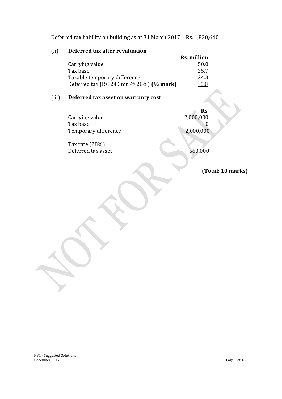Deferred tax liability on building as at 31 March 2017 = Rs. 1,830,640

## (ii) **Deferred tax after revaluation**

|                                                              | <b>Rs. million</b> |
|--------------------------------------------------------------|--------------------|
| Carrying value                                               | 50.0               |
| Tax base                                                     | 25.7               |
| Taxable temporary difference                                 | 24.3               |
| Deferred tax (Rs. 24.3mn $\omega$ 28%) ( $\frac{1}{2}$ mark) | 6.8                |

# (iii) **Deferred tax asset on warranty cost**

|                      | Rs.       |
|----------------------|-----------|
| Carrying value       | 2,000,000 |
| Tax base             |           |
| Temporary difference | 2,000,000 |

Tax rate (28%) Deferred tax asset 560,000

**(Total: 10 marks)**

KB1 - Suggested Solutions December 2017 Page 5 of 18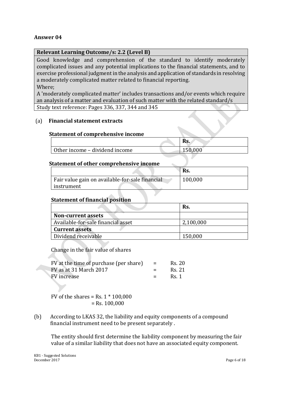### **Relevant Learning Outcome/s: 2.2 (Level B)**

Good knowledge and comprehension of the standard to identify moderately complicated issues and any potential implications to the financial statements, and to exercise professional judgment in the analysis and application of standards in resolving a moderately complicated matter related to financial reporting.

Where;

A 'moderately complicated matter' includes transactions and/or events which require an analysis of a matter and evaluation of such matter with the related standard/s Study text reference: Pages 336, 337, 344 and 345

#### (a) **Financial statement extracts**

#### **Statement of comprehensive income**

|                                | Rs.     |
|--------------------------------|---------|
| Other income – dividend income | 150,000 |

#### **Statement of other comprehensive income**

|                                                 | Rs.     |
|-------------------------------------------------|---------|
| Fair value gain on available-for-sale financial | 100,000 |
| instrument                                      |         |

 $\mathcal{L}$ 

#### **Statement of financial position**

|                                    | Rs.       |
|------------------------------------|-----------|
| <b>Non-current assets</b>          |           |
| Available-for-sale financial asset | 2,100,000 |
| <b>Current assets</b>              |           |
| Dividend receivable                | 150,000   |

Change in the fair value of shares

| FV at the time of purchase (per share) | $=$ | Rs. 20 |
|----------------------------------------|-----|--------|
| FV as at 31 March 2017                 |     | Rs. 21 |
| FV increase                            | $=$ | Rs. 1  |

FV of the shares = Rs.  $1 * 100,000$  $=$  Rs. 100,000

(b) According to LKAS 32, the liability and equity components of a compound financial instrument need to be present separately .

The entity should first determine the liability component by measuring the fair value of a similar liability that does not have an associated equity component.

KB1 - Suggested Solutions December 2017 Page 6 of 18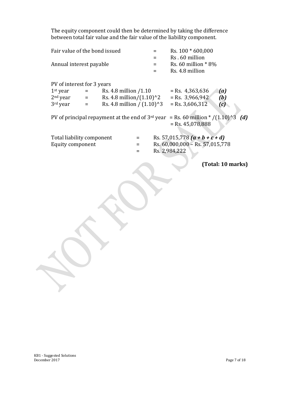The equity component could then be determined by taking the difference between total fair value and the fair value of the liability component.

| Rs. 60 million $* 8\%$                                              |
|---------------------------------------------------------------------|
| (a)<br>(b)<br>(c)<br>= Rs. 60 million * $/(1.10)^3$<br>(d)          |
| Rs. 57,015,778 $(a + b + c + d)$<br>Rs. 60,000,000 - Rs. 57,015,778 |
| (Total: 10 marks)                                                   |
|                                                                     |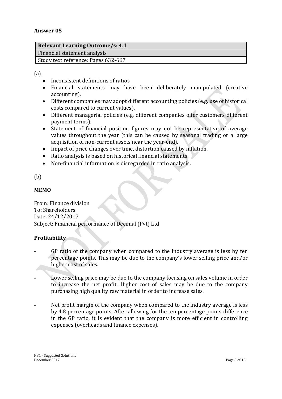| <b>Relevant Learning Outcome/s: 4.1</b> |
|-----------------------------------------|
| Financial statement analysis            |
| Study text reference: Pages 632-667     |

(a)

- Inconsistent definitions of ratios
- Financial statements may have been deliberately manipulated (creative accounting).
- Different companies may adopt different accounting policies (e.g. use of historical costs compared to current values).
- Different managerial policies (e.g. different companies offer customers different payment terms).
- Statement of financial position figures may not be representative of average values throughout the year (this can be caused by seasonal trading or a large acquisition of non-current assets near the year-end).
- Impact of price changes over time, distortion caused by inflation.
- Ratio analysis is based on historical financial statements.
- Non-financial information is disregarded in ratio analysis.

#### (b)

#### **MEMO**

From: Finance division To: Shareholders Date: 24/12/2017 Subject: Financial performance of Decimal (Pvt) Ltd

#### **Profitability**

- GP ratio of the company when compared to the industry average is less by ten percentage points. This may be due to the company's lower selling price and/or higher cost of sales.
- Lower selling price may be due to the company focusing on sales volume in order to increase the net profit. Higher cost of sales may be due to the company purchasing high quality raw material in order to increase sales.
- Net profit margin of the company when compared to the industry average is less by 4.8 percentage points. After allowing for the ten percentage points difference in the GP ratio, it is evident that the company is more efficient in controlling expenses (overheads and finance expenses)**.**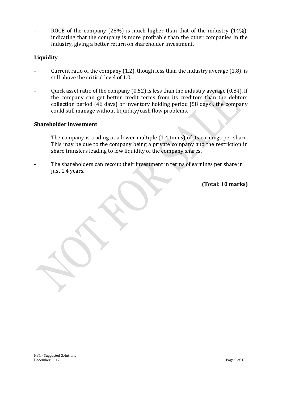ROCE of the company (28%) is much higher than that of the industry (14%), indicating that the company is more profitable than the other companies in the industry, giving a better return on shareholder investment.

#### **Liquidity**

- Current ratio of the company  $(1.2)$ , though less than the industry average  $(1.8)$ , is still above the critical level of 1.0.
- Quick asset ratio of the company (0.52) is less than the industry average (0.84). If the company can get better credit terms from its creditors than the debtors collection period (46 days) or inventory holding period (58 days), the company could still manage without liquidity/cash flow problems.

#### **Shareholder investment**

- The company is trading at a lower multiple (1.4 times) of its earnings per share. This may be due to the company being a private company and the restriction in share transfers leading to low liquidity of the company shares.
- The shareholders can recoup their investment in terms of earnings per share in just 1.4 years.

**(Total: 10 marks)**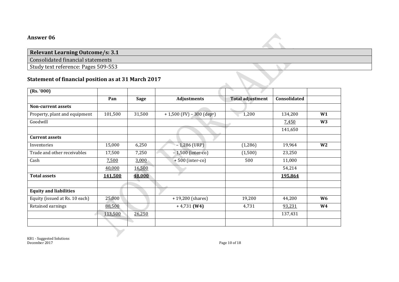## **Relevant Learning Outcome/s: 3.1**

Consolidated financial statements

Study text reference: Pages 509-553

## **Statement of financial position as at 31 March 2017**

| (Rs. '000)                     |         |        |                                          |                         |              |                |
|--------------------------------|---------|--------|------------------------------------------|-------------------------|--------------|----------------|
|                                | Pan     | Sage   | <b>Adjustments</b>                       | <b>Total adjustment</b> | Consolidated |                |
| Non-current assets             |         |        |                                          |                         |              |                |
| Property, plant and equipment  | 101,500 | 31,500 | $+ 1,500$ (FV) - 300 (dep <sup>n</sup> ) | 1,200                   | 134,200      | W1             |
| Goodwill                       |         |        |                                          |                         | 7,450        | W <sub>3</sub> |
|                                |         |        |                                          |                         | 141,650      |                |
| <b>Current assets</b>          |         |        |                                          |                         |              |                |
| Inventories                    | 15,000  | 6,250  | $-1,286$ (URP)                           | (1,286)                 | 19,964       | W <sub>2</sub> |
| Trade and other receivables    | 17,500  | 7,250  | $-1,500$ (inter-co)                      | (1,500)                 | 23,250       |                |
| Cash                           | 7,500   | 3,000  | $+500$ (inter-co)                        | 500                     | 11,000       |                |
|                                | 40,000  | 16,500 |                                          |                         | 54,214       |                |
| <b>Total assets</b>            | 141,500 | 48,000 |                                          |                         | 195,864      |                |
|                                |         |        |                                          |                         |              |                |
| <b>Equity and liabilities</b>  |         |        |                                          |                         |              |                |
| Equity (issued at Rs. 10 each) | 25,000  |        | $+19,200$ (shares)                       | 19,200                  | 44,200       | W <sub>6</sub> |
| Retained earnings              | 88,500  |        | $+4,731$ (W4)                            | 4,731                   | 93,231       | <b>W4</b>      |
|                                | 113,500 | 26,250 |                                          |                         | 137,431      |                |
|                                |         |        |                                          |                         |              |                |

KB1 - Suggested Solutions December 2017 Page 10 of 18

 $\Delta \mathbf{r}$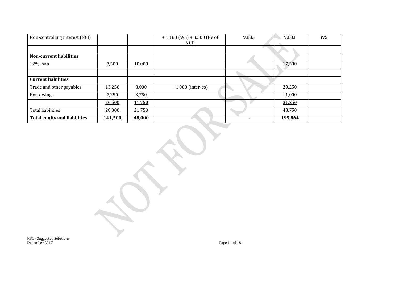| Non-controlling interest (NCI)      |                |        | $+1,183$ (W5) + 8,500 (FV of<br>NCI) | 9,683 | 9,683   | W <sub>5</sub> |
|-------------------------------------|----------------|--------|--------------------------------------|-------|---------|----------------|
|                                     |                |        |                                      |       |         |                |
| <b>Non-current liabilities</b>      |                |        |                                      |       |         |                |
| 12% loan                            | 7,500          | 10,000 |                                      |       | 17,500  |                |
|                                     |                |        |                                      |       |         |                |
| <b>Current liabilities</b>          |                |        |                                      |       |         |                |
| Trade and other payables            | 13,250         | 8,000  | $-1,000$ (inter-co)                  |       | 20,250  |                |
| Borrowings                          | 7,250          | 3,750  |                                      |       | 11,000  |                |
|                                     | 20,500         | 11,750 |                                      |       | 31,250  |                |
| <b>Total liabilities</b>            | 28,000         | 21,750 |                                      |       | 48,750  |                |
| <b>Total equity and liabilities</b> | <u>141,500</u> | 48,000 |                                      |       | 195,864 |                |

KB1 - Suggested Solutions December 2017 Page 11 of 18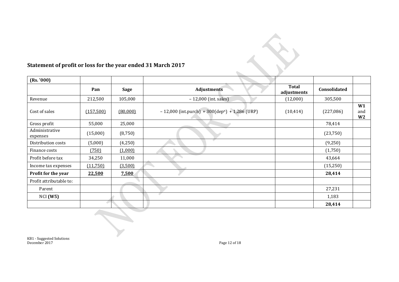

# **Statement of profit or loss for the year ended 31 March 2017**

| (Rs. '000)                 |           |             |                                                              |                             |              |                             |
|----------------------------|-----------|-------------|--------------------------------------------------------------|-----------------------------|--------------|-----------------------------|
|                            | Pan       | <b>Sage</b> | <b>Adjustments</b>                                           | <b>Total</b><br>adjustments | Consolidated |                             |
| Revenue                    | 212,500   | 105,000     | $-12,000$ (int. sales)                                       | (12,000)                    | 305,500      |                             |
| Cost of sales              | (157,500) | (80,000)    | $-12,000$ (int.purch) + 300(dep <sup>n</sup> ) + 1,286 (URP) | (10, 414)                   | (227,086)    | W1<br>and<br>W <sub>2</sub> |
| Gross profit               | 55,000    | 25,000      |                                                              |                             | 78,414       |                             |
| Administrative<br>expenses | (15,000)  | (8,750)     |                                                              |                             | (23,750)     |                             |
| Distribution costs         | (5,000)   | (4,250)     |                                                              |                             | (9,250)      |                             |
| Finance costs              | (750)     | (1,000)     |                                                              |                             | (1,750)      |                             |
| Profit before tax          | 34,250    | 11,000      |                                                              |                             | 43,664       |                             |
| Income tax expenses        | (11,750)  | (3,500)     |                                                              |                             | (15,250)     |                             |
| Profit for the year        | 22,500    | 7,500       |                                                              |                             | 28,414       |                             |
| Profit attributable to:    |           |             |                                                              |                             |              |                             |
| Parent                     |           |             |                                                              |                             | 27,231       |                             |
| NCI(W5)                    |           |             |                                                              |                             | 1,183        |                             |
|                            |           |             |                                                              |                             | 28,414       |                             |

KB1 - Suggested Solutions December 2017 Page 12 of 18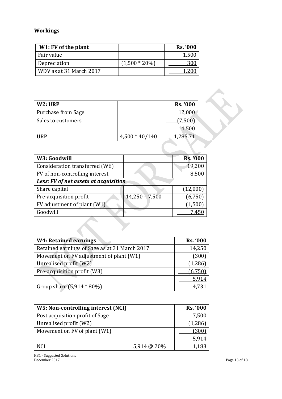# **Workings**

| W1: FV of the plant     |                  | <b>Rs. '000</b> |
|-------------------------|------------------|-----------------|
| Fair value              |                  | 1,500           |
| Depreciation            | $(1,500 * 20\%)$ | 300             |
| WDV as at 31 March 2017 |                  |                 |

| W2: URP                   |                  | <b>Rs. '000</b> |
|---------------------------|------------------|-----------------|
| <b>Purchase from Sage</b> |                  | 12,000          |
| Sales to customers        |                  | 7,500           |
|                           |                  | 4.50            |
| HRP                       | $4,500 * 40/140$ | 1,285.71        |

| W3: Goodwill                          |                  | <b>Rs. '000</b> |
|---------------------------------------|------------------|-----------------|
| Consideration transferred (W6)        |                  | 19,200          |
| FV of non-controlling interest        |                  | 8,500           |
| Less: FV of net assets at acquisition |                  |                 |
| Share capital                         |                  | (12,000)        |
| Pre-acquisition profit                | $14,250 - 7,500$ | (6,750)         |
| FV adjustment of plant (W1)           |                  | 1,500           |
| Goodwill                              |                  | 7.450           |

| <b>W4: Retained earnings</b>                  | <b>Rs. '000</b> |
|-----------------------------------------------|-----------------|
| Retained earnings of Sage as at 31 March 2017 | 14,250          |
| Movement on FV adjustment of plant (W1)       | (300)           |
| Unrealised profit (W2)                        | (1,286)         |
| Pre-acquisition profit (W3)                   | (6,750)         |
|                                               | 5,914           |
| Group share (5,914 * 80%)                     | 4,731           |

| W5: Non-controlling interest (NCI) |             | <b>Rs. '000</b> |
|------------------------------------|-------------|-----------------|
| Post acquisition profit of Sage    |             | 7,500           |
| Unrealised profit (W2)             |             | (1, 286)        |
| Movement on FV of plant (W1)       |             | (300)           |
|                                    |             | 5.914           |
| NCI                                | 5,914 @ 20% | 1,183           |

KB1 - Suggested Solutions December 2017 **Page 13 of 18**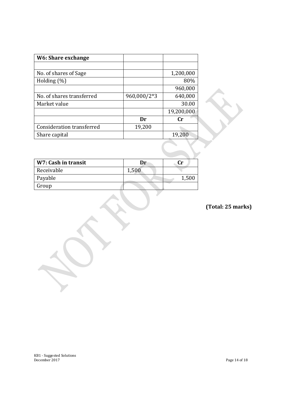| W6: Share exchange        |             |            |
|---------------------------|-------------|------------|
|                           |             |            |
| No. of shares of Sage     |             | 1,200,000  |
| Holding $(\%)$            |             | 80%        |
|                           |             | 960,000    |
| No. of shares transferred | 960,000/2*3 | 640,000    |
| Market value              |             | 30.00      |
|                           |             | 19,200,000 |
|                           | Dr          | Cr         |
| Consideration transferred | 19,200      |            |
| Share capital             |             | 19,200     |

| W7: Cash in transit | Dr    | Cr |
|---------------------|-------|----|
| Receivable          | 1,500 |    |
| Payable             |       |    |
| Group               |       |    |

**(Total: 25 marks)**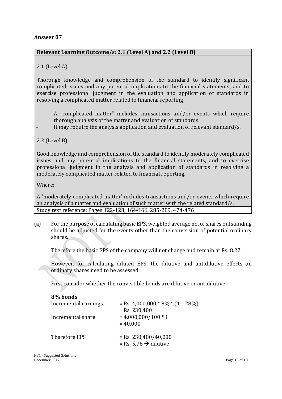## **Relevant Learning Outcome/s: 2.1 (Level A) and 2.2 (Level B)**

## 2.1 (Level A)

Thorough knowledge and comprehension of the standard to identify significant complicated issues and any potential implications to the financial statements, and to exercise professional judgment in the evaluation and application of standards in resolving a complicated matter related to financial reporting

- A "complicated matter" includes transactions and/or events which require thorough analysis of the matter and evaluation of standards.
- It may require the analysis application and evaluation of relevant standard/s.

## 2.2 (Level B)

Good knowledge and comprehension of the standard to identify moderately complicated issues and any potential implications to the financial statements, and to exercise professional judgment in the analysis and application of standards in resolving a moderately complicated matter related to financial reporting.

Where;

A 'moderately complicated matter' includes transactions and/or events which require an analysis of a matter and evaluation of such matter with the related standard/s. Study text reference: Pages 122-123, 164-166, 285-289, 474-476

(a) For the purpose of calculating basic EPS, weighted average no. of shares outstanding should be adjusted for the events other than the conversion of potential ordinary shares.

Therefore the basic EPS of the company will not change and remain at Rs. 8.27.

However, for calculating diluted EPS, the dilutive and antidilutive effects on ordinary shares need to be assessed.

First consider whether the convertible bonds are dilutive or antidilutive:

| 8% bonds             |                                        |
|----------------------|----------------------------------------|
| Incremental earnings | $=$ Rs. 4,000,000 $*$ 8% $*$ (1 – 28%) |
|                      | $=$ Rs. 230,400                        |
| Incremental share    | $= 4,000,000/100 * 1$                  |
|                      | $= 40,000$                             |
|                      |                                        |
| Therefore EPS        | $=$ Rs. 230,400/40,000                 |
|                      | = Rs. 5.76 $\rightarrow$ dilutive      |
|                      |                                        |

KB1 - Suggested Solutions December 2017 Page 15 of 18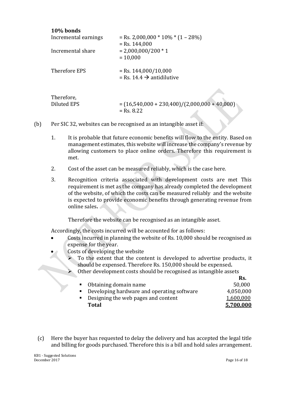| 10% bonds                        |                                                                 |
|----------------------------------|-----------------------------------------------------------------|
| Incremental earnings             | $=$ Rs. 2,000,000 $*$ 10% $*$ (1 – 28%)                         |
| Incremental share                | $=$ Rs. 144,000<br>$= 2,000,000/200 * 1$<br>$= 10,000$          |
| Therefore EPS                    | $=$ Rs. 144,000/10,000<br>= Rs. 14.4 $\rightarrow$ antidilutive |
| Therefore,<br><b>Diluted EPS</b> | $=(16,540,000 + 230,400)/(2,000,000 + 40,000)$                  |
|                                  | $=$ Rs. 8.22                                                    |

- (b) Per SIC 32, websites can be recognised as an intangible asset if:
	- 1. It is probable that future economic benefits will flow to the entity. Based on management estimates, this website will increase the company's revenue by allowing customers to place online orders. Therefore this requirement is met.
	- 2. Cost of the asset can be measured reliably, which is the case here.
	- 3. Recognition criteria associated with development costs are met This requirement is met as the company has already completed the development of the website, of which the costs can be measured reliably and the website is expected to provide economic benefits through generating revenue from online sales**.**

Therefore the website can be recognised as an intangible asset.

Accordingly, the costs incurred will be accounted for as follows:

- Costs incurred in planning the website of Rs. 10,000 should be recognised as expense for the year.
- Costs of developing the website
	- To the extent that the content is developed to advertise products, it should be expensed. Therefore Rs. 150,000 should be expensed**.**
	- Other development costs should be recognised as intangible assets

|                                              | Rs.       |
|----------------------------------------------|-----------|
| • Obtaining domain name                      | 50,000    |
| • Developing hardware and operating software | 4,050,000 |
| • Designing the web pages and content        | 1,600,000 |
| <b>Total</b>                                 | 5,700,000 |
|                                              |           |

(c) Here the buyer has requested to delay the delivery and has accepted the legal title and billing for goods purchased. Therefore this is a bill and hold sales arrangement.

KB1 - Suggested Solutions December 2017 Page 16 of 18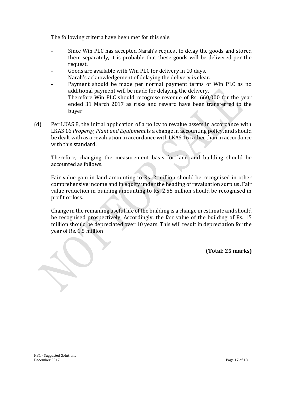The following criteria have been met for this sale.

- Since Win PLC has accepted Narah's request to delay the goods and stored them separately, it is probable that these goods will be delivered per the request.
- Goods are available with Win PLC for delivery in 10 days.
- Narah's acknowledgement of delaying the delivery is clear.
- Payment should be made per normal payment terms of Win PLC as no additional payment will be made for delaying the delivery. Therefore Win PLC should recognise revenue of Rs. 660,000 for the year ended 31 March 2017 as risks and reward have been transferred to the buyer
- (d) Per LKAS 8, the initial application of a policy to revalue assets in accordance with LKAS 16 *Property, Plant and Equipment* is a change in accounting policy, and should be dealt with as a revaluation in accordance with LKAS 16 rather than in accordance with this standard.

Therefore, changing the measurement basis for land and building should be accounted as follows.

Fair value gain in land amounting to Rs. 2 million should be recognised in other comprehensive income and in equity under the heading of revaluation surplus**.** Fair value reduction in building amounting to Rs. 2.55 million should be recognised in profit or loss.

Change in the remaining useful life of the building is a change in estimate and should be recognised prospectively. Accordingly, the fair value of the building of Rs. 15 million should be depreciated over 10 years. This will result in depreciation for the year of Rs. 1.5 million

**(Total: 25 marks)**